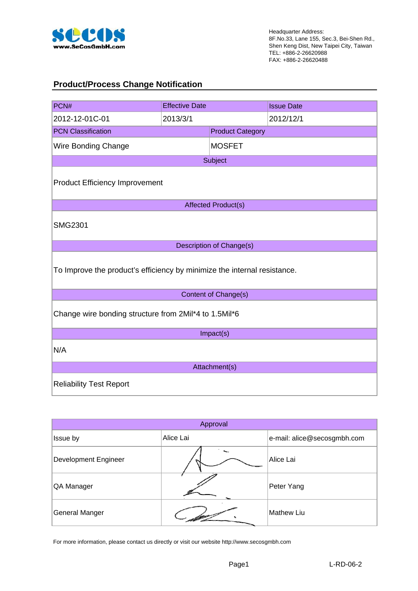

#### **Product/Process Change Notification**

| PCN#                                                                     | <b>Effective Date</b> |                            | <b>Issue Date</b> |  |  |
|--------------------------------------------------------------------------|-----------------------|----------------------------|-------------------|--|--|
| 2012-12-01C-01                                                           | 2013/3/1              |                            | 2012/12/1         |  |  |
| <b>PCN Classification</b>                                                |                       | <b>Product Category</b>    |                   |  |  |
| Wire Bonding Change                                                      |                       | <b>MOSFET</b>              |                   |  |  |
| Subject                                                                  |                       |                            |                   |  |  |
| <b>Product Efficiency Improvement</b>                                    |                       |                            |                   |  |  |
|                                                                          |                       | <b>Affected Product(s)</b> |                   |  |  |
| <b>SMG2301</b>                                                           |                       |                            |                   |  |  |
|                                                                          |                       | Description of Change(s)   |                   |  |  |
| To Improve the product's efficiency by minimize the internal resistance. |                       |                            |                   |  |  |
|                                                                          |                       | Content of Change(s)       |                   |  |  |
| Change wire bonding structure from 2Mil*4 to 1.5Mil*6                    |                       |                            |                   |  |  |
|                                                                          |                       | Impact(s)                  |                   |  |  |
| N/A                                                                      |                       |                            |                   |  |  |
|                                                                          |                       | Attachment(s)              |                   |  |  |
| <b>Reliability Test Report</b>                                           |                       |                            |                   |  |  |

| Approval              |           |                             |  |  |  |  |  |
|-----------------------|-----------|-----------------------------|--|--|--|--|--|
| Issue by              | Alice Lai | e-mail: alice@secosgmbh.com |  |  |  |  |  |
| Development Engineer  |           | Alice Lai                   |  |  |  |  |  |
| QA Manager            |           | Peter Yang                  |  |  |  |  |  |
| <b>General Manger</b> |           | <b>Mathew Liu</b>           |  |  |  |  |  |

For more information, please contact us directly or visit our website http://www.secosgmbh.com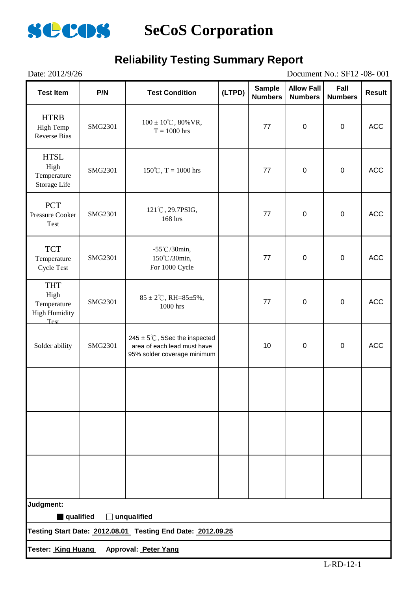

## **Reliability Testing Summary Report**

| Date: 2012/9/26                                                   |         |                                                                                                         |        |                                 |                                     | Document No.: SF12 -08-001 |               |
|-------------------------------------------------------------------|---------|---------------------------------------------------------------------------------------------------------|--------|---------------------------------|-------------------------------------|----------------------------|---------------|
| <b>Test Item</b>                                                  | P/N     | <b>Test Condition</b>                                                                                   | (LTPD) | <b>Sample</b><br><b>Numbers</b> | <b>Allow Fall</b><br><b>Numbers</b> | Fall<br><b>Numbers</b>     | <b>Result</b> |
| <b>HTRB</b><br><b>High Temp</b><br><b>Reverse Bias</b>            | SMG2301 | $100 \pm 10^{\circ}$ C, 80% VR,<br>$T = 1000$ hrs                                                       |        | 77                              | $\boldsymbol{0}$                    | $\pmb{0}$                  | <b>ACC</b>    |
| <b>HTSL</b><br>High<br>Temperature<br>Storage Life                | SMG2301 | $150^{\circ}$ C, T = 1000 hrs                                                                           |        | 77                              | $\boldsymbol{0}$                    | $\pmb{0}$                  | <b>ACC</b>    |
| <b>PCT</b><br>Pressure Cooker<br>Test                             | SMG2301 | 121°C, 29.7PSIG,<br>168 hrs                                                                             |        | 77                              | $\boldsymbol{0}$                    | $\pmb{0}$                  | ACC           |
| <b>TCT</b><br>Temperature<br><b>Cycle Test</b>                    | SMG2301 | $-55^{\circ}$ C/30min,<br>150°C/30min,<br>For 1000 Cycle                                                |        | 77                              | $\boldsymbol{0}$                    | $\pmb{0}$                  | <b>ACC</b>    |
| <b>THT</b><br>High<br>Temperature<br><b>High Humidity</b><br>Test | SMG2301 | $85 \pm 2^{\circ}$ C, RH= $85 \pm 5\%$ ,<br>1000 hrs                                                    |        | 77                              | $\mathbf 0$                         | $\pmb{0}$                  | <b>ACC</b>    |
| Solder ability                                                    | SMG2301 | $245 \pm 5^{\circ}$ C, 5Sec the inspected<br>area of each lead must have<br>95% solder coverage minimum |        | 10                              | $\boldsymbol{0}$                    | $\pmb{0}$                  | ACC           |
|                                                                   |         |                                                                                                         |        |                                 |                                     |                            |               |
|                                                                   |         |                                                                                                         |        |                                 |                                     |                            |               |
|                                                                   |         |                                                                                                         |        |                                 |                                     |                            |               |
| Judgment:<br>qualified                                            |         | unqualified                                                                                             |        |                                 |                                     |                            |               |
|                                                                   |         | Testing Start Date: 2012.08.01 Testing End Date: 2012.09.25                                             |        |                                 |                                     |                            |               |
| <b>Tester: King Huang</b>                                         |         | Approval: Peter Yang                                                                                    |        |                                 |                                     |                            |               |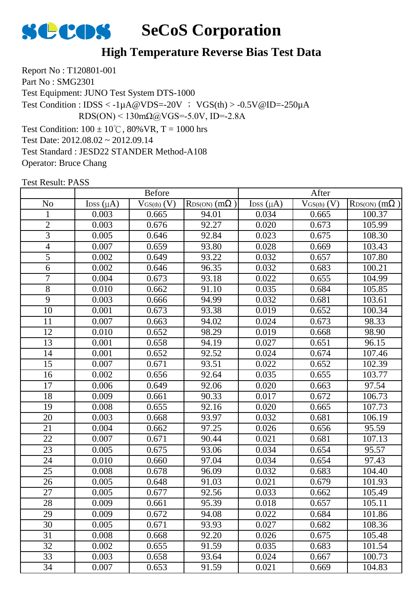

#### **High Temperature Reverse Bias Test Data**

Report No : T120801-001 Part No : SMG2301 Test Equipment: JUNO Test System DTS-1000 Test Condition:  $100 \pm 10^{\circ}$ C,  $80\%$  VR, T = 1000 hrs Test Date: 2012.08.02 ~ 2012.09.14 Test Standard : JESD22 STANDER Method-A108 Operator: Bruce Chang Test Condition :  $IDSS < -1\mu A@VDS = -20V$  ;  $VGS(th) > -0.5V@ID = -250\mu A$  $RDS(ON) < 130 \text{m}\Omega$ @VGS=-5.0V, ID=-2.8A

|                 |                            | <b>Before</b>   |                            |                            | After           |                            |
|-----------------|----------------------------|-----------------|----------------------------|----------------------------|-----------------|----------------------------|
| No              | $\text{Loss}(\mu\text{A})$ | $V_{GS(th)}(V)$ | $R_{DS(ON)}$ (m $\Omega$ ) | $\text{Loss}(\mu\text{A})$ | $V_{GS(th)}(V)$ | $R_{DS(ON)}$ (m $\Omega$ ) |
| 1               | 0.003                      | 0.665           | 94.01                      | 0.034                      | 0.665           | 100.37                     |
| $\overline{2}$  | 0.003                      | 0.676           | 92.27                      | 0.020                      | 0.673           | 105.99                     |
| $\overline{3}$  | 0.005                      | 0.646           | 92.84                      | 0.023                      | 0.675           | 108.30                     |
| $\overline{4}$  | 0.007                      | 0.659           | 93.80                      | 0.028                      | 0.669           | 103.43                     |
| 5               | 0.002                      | 0.649           | 93.22                      | 0.032                      | 0.657           | 107.80                     |
| 6               | 0.002                      | 0.646           | 96.35                      | 0.032                      | 0.683           | 100.21                     |
| $\overline{7}$  | 0.004                      | 0.673           | 93.18                      | 0.022                      | 0.655           | 104.99                     |
| 8               | 0.010                      | 0.662           | 91.10                      | 0.035                      | 0.684           | 105.85                     |
| $\overline{9}$  | 0.003                      | 0.666           | 94.99                      | 0.032                      | 0.681           | 103.61                     |
| 10              | 0.001                      | 0.673           | 93.38                      | 0.019                      | 0.652           | 100.34                     |
| 11              | 0.007                      | 0.663           | 94.02                      | 0.024                      | 0.673           | 98.33                      |
| $\overline{12}$ | 0.010                      | 0.652           | 98.29                      | 0.019                      | 0.668           | 98.90                      |
| $\overline{13}$ | 0.001                      | 0.658           | 94.19                      | 0.027                      | 0.651           | 96.15                      |
| 14              | 0.001                      | 0.652           | 92.52                      | 0.024                      | 0.674           | 107.46                     |
| 15              | 0.007                      | 0.671           | 93.51                      | 0.022                      | 0.652           | 102.39                     |
| 16              | 0.002                      | 0.656           | 92.64                      | 0.035                      | 0.655           | 103.77                     |
| 17              | 0.006                      | 0.649           | 92.06                      | 0.020                      | 0.663           | 97.54                      |
| 18              | 0.009                      | 0.661           | 90.33                      | 0.017                      | 0.672           | 106.73                     |
| 19              | 0.008                      | 0.655           | 92.16                      | 0.020                      | 0.665           | 107.73                     |
| 20              | 0.003                      | 0.668           | 93.97                      | 0.032                      | 0.681           | 106.19                     |
| 21              | 0.004                      | 0.662           | 97.25                      | 0.026                      | 0.656           | 95.59                      |
| 22              | 0.007                      | 0.671           | 90.44                      | 0.021                      | 0.681           | 107.13                     |
| 23              | 0.005                      | 0.675           | 93.06                      | 0.034                      | 0.654           | 95.57                      |
| 24              | 0.010                      | 0.660           | 97.04                      | 0.034                      | 0.654           | 97.43                      |
| $\overline{25}$ | 0.008                      | 0.678           | 96.09                      | 0.032                      | 0.683           | 104.40                     |
| 26              | 0.005                      | 0.648           | 91.03                      | 0.021                      | 0.679           | 101.93                     |
| 27              | 0.005                      | 0.677           | 92.56                      | 0.033                      | 0.662           | 105.49                     |
| 28              | 0.009                      | 0.661           | 95.39                      | 0.018                      | 0.657           | 105.11                     |
| 29              | 0.009                      | 0.672           | 94.08                      | 0.022                      | 0.684           | 101.86                     |
| 30              | 0.005                      | 0.671           | 93.93                      | 0.027                      | 0.682           | 108.36                     |
| 31              | 0.008                      | 0.668           | 92.20                      | 0.026                      | 0.675           | 105.48                     |
| 32              | 0.002                      | 0.655           | 91.59                      | 0.035                      | 0.683           | 101.54                     |
| 33              | 0.003                      | 0.658           | 93.64                      | 0.024                      | 0.667           | 100.73                     |
| 34              | 0.007                      | 0.653           | 91.59                      | 0.021                      | 0.669           | 104.83                     |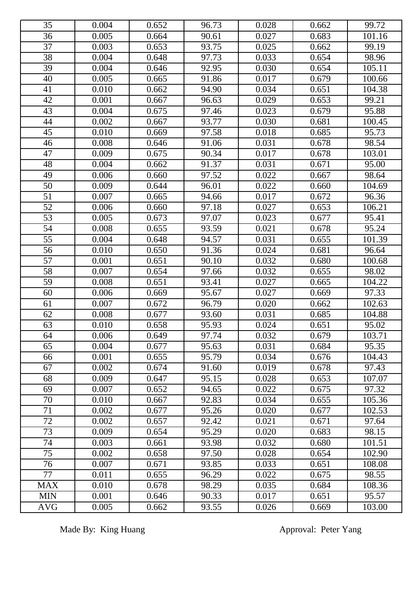| 35              | 0.004 | 0.652 | 96.73 | 0.028 | 0.662 | 99.72  |
|-----------------|-------|-------|-------|-------|-------|--------|
| 36              | 0.005 | 0.664 | 90.61 | 0.027 | 0.683 | 101.16 |
| 37              | 0.003 | 0.653 | 93.75 | 0.025 | 0.662 | 99.19  |
| 38              | 0.004 | 0.648 | 97.73 | 0.033 | 0.654 | 98.96  |
| 39              | 0.004 | 0.646 | 92.95 | 0.030 | 0.654 | 105.11 |
| 40              | 0.005 | 0.665 | 91.86 | 0.017 | 0.679 | 100.66 |
| 41              | 0.010 | 0.662 | 94.90 | 0.034 | 0.651 | 104.38 |
| 42              | 0.001 | 0.667 | 96.63 | 0.029 | 0.653 | 99.21  |
| 43              | 0.004 | 0.675 | 97.46 | 0.023 | 0.679 | 95.88  |
| 44              | 0.002 | 0.667 | 93.77 | 0.030 | 0.681 | 100.45 |
| $\overline{45}$ | 0.010 | 0.669 | 97.58 | 0.018 | 0.685 | 95.73  |
| 46              | 0.008 | 0.646 | 91.06 | 0.031 | 0.678 | 98.54  |
| 47              | 0.009 | 0.675 | 90.34 | 0.017 | 0.678 | 103.01 |
| 48              | 0.004 | 0.662 | 91.37 | 0.031 | 0.671 | 95.00  |
| 49              | 0.006 | 0.660 | 97.52 | 0.022 | 0.667 | 98.64  |
| 50              | 0.009 | 0.644 | 96.01 | 0.022 | 0.660 | 104.69 |
| $\overline{51}$ | 0.007 | 0.665 | 94.66 | 0.017 | 0.672 | 96.36  |
| 52              | 0.006 | 0.660 | 97.18 | 0.027 | 0.653 | 106.21 |
| $\overline{53}$ | 0.005 | 0.673 | 97.07 | 0.023 | 0.677 | 95.41  |
| 54              | 0.008 | 0.655 | 93.59 | 0.021 | 0.678 | 95.24  |
| 55              | 0.004 | 0.648 | 94.57 | 0.031 | 0.655 | 101.39 |
| 56              | 0.010 | 0.650 | 91.36 | 0.024 | 0.681 | 96.64  |
| $\overline{57}$ | 0.001 | 0.651 | 90.10 | 0.032 | 0.680 | 100.68 |
| $\overline{58}$ | 0.007 | 0.654 | 97.66 | 0.032 | 0.655 | 98.02  |
| 59              | 0.008 | 0.651 | 93.41 | 0.027 | 0.665 | 104.22 |
| 60              | 0.006 | 0.669 | 95.67 | 0.027 | 0.669 | 97.33  |
| 61              | 0.007 | 0.672 | 96.79 | 0.020 | 0.662 | 102.63 |
| 62              | 0.008 | 0.677 | 93.60 | 0.031 | 0.685 | 104.88 |
| 63              | 0.010 | 0.658 | 95.93 | 0.024 | 0.651 | 95.02  |
| 64              | 0.006 | 0.649 | 97.74 | 0.032 | 0.679 | 103.71 |
| 65              | 0.004 | 0.677 | 95.63 | 0.031 | 0.684 | 95.35  |
| 66              | 0.001 | 0.655 | 95.79 | 0.034 | 0.676 | 104.43 |
| 67              | 0.002 | 0.674 | 91.60 | 0.019 | 0.678 | 97.43  |
| 68              | 0.009 | 0.647 | 95.15 | 0.028 | 0.653 | 107.07 |
| 69              | 0.007 | 0.652 | 94.65 | 0.022 | 0.675 | 97.32  |
| 70              | 0.010 | 0.667 | 92.83 | 0.034 | 0.655 | 105.36 |
| 71              | 0.002 | 0.677 | 95.26 | 0.020 | 0.677 | 102.53 |
| 72              | 0.002 | 0.657 | 92.42 | 0.021 | 0.671 | 97.64  |
| 73              | 0.009 | 0.654 | 95.29 | 0.020 | 0.683 | 98.15  |
| 74              | 0.003 | 0.661 | 93.98 | 0.032 | 0.680 | 101.51 |
| 75              | 0.002 | 0.658 | 97.50 | 0.028 | 0.654 | 102.90 |
| 76              | 0.007 | 0.671 | 93.85 | 0.033 | 0.651 | 108.08 |
| 77              | 0.011 | 0.655 | 96.29 | 0.022 | 0.675 | 98.55  |
| <b>MAX</b>      | 0.010 | 0.678 | 98.29 | 0.035 | 0.684 | 108.36 |
| <b>MIN</b>      | 0.001 | 0.646 | 90.33 | 0.017 | 0.651 | 95.57  |
| <b>AVG</b>      | 0.005 | 0.662 | 93.55 | 0.026 | 0.669 | 103.00 |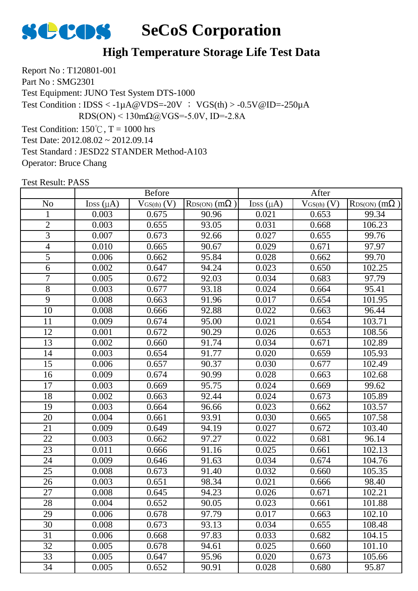

## **High Temperature Storage Life Test Data**

Report No : T120801-001 Part No : SMG2301 Test Equipment: JUNO Test System DTS-1000 Test Condition:  $150^{\circ}$ C, T = 1000 hrs Test Date: 2012.08.02 ~ 2012.09.14 Test Standard : JESD22 STANDER Method-A103 Operator: Bruce Chang Test Condition :  $IDSS < -1\mu A@VDS = -20V$  ;  $VGS(th) > -0.5V@ID = -250\mu A$  $RDS(ON) < 130 \text{m}\Omega$ @VGS=-5.0V, ID=-2.8A

|                 |                            | <b>Before</b>   |                            |                            | After           |                            |
|-----------------|----------------------------|-----------------|----------------------------|----------------------------|-----------------|----------------------------|
| N <sub>o</sub>  | $\text{Loss}(\mu\text{A})$ | $V_{GS(th)}(V)$ | $R_{DS(ON)}$ (m $\Omega$ ) | $\text{Loss}(\mu\text{A})$ | $V_{GS(th)}(V)$ | $R_{DS(ON)}$ (m $\Omega$ ) |
| 1               | 0.003                      | 0.675           | 90.96                      | 0.021                      | 0.653           | 99.34                      |
| $\overline{2}$  | 0.003                      | 0.655           | 93.05                      | 0.031                      | 0.668           | 106.23                     |
| 3               | 0.007                      | 0.673           | 92.66                      | 0.027                      | 0.655           | 99.76                      |
| $\overline{4}$  | 0.010                      | 0.665           | 90.67                      | 0.029                      | 0.671           | 97.97                      |
| $\overline{5}$  | 0.006                      | 0.662           | 95.84                      | 0.028                      | 0.662           | 99.70                      |
| 6               | 0.002                      | 0.647           | 94.24                      | 0.023                      | 0.650           | 102.25                     |
| 7               | 0.005                      | 0.672           | 92.03                      | 0.034                      | 0.683           | 97.79                      |
| $\overline{8}$  | 0.003                      | 0.677           | 93.18                      | 0.024                      | 0.664           | 95.41                      |
| $\overline{9}$  | 0.008                      | 0.663           | 91.96                      | 0.017                      | 0.654           | 101.95                     |
| 10              | 0.008                      | 0.666           | 92.88                      | 0.022                      | 0.663           | 96.44                      |
| 11              | 0.009                      | 0.674           | 95.00                      | 0.021                      | 0.654           | 103.71                     |
| 12              | 0.001                      | 0.672           | 90.29                      | 0.026                      | 0.653           | 108.56                     |
| 13              | $\overline{0.002}$         | 0.660           | 91.74                      | 0.034                      | 0.671           | 102.89                     |
| 14              | 0.003                      | 0.654           | 91.77                      | 0.020                      | 0.659           | 105.93                     |
| 15              | 0.006                      | 0.657           | 90.37                      | 0.030                      | 0.677           | 102.49                     |
| 16              | 0.009                      | 0.674           | 90.99                      | 0.028                      | 0.663           | 102.68                     |
| 17              | 0.003                      | 0.669           | 95.75                      | 0.024                      | 0.669           | 99.62                      |
| 18              | 0.002                      | 0.663           | 92.44                      | 0.024                      | 0.673           | 105.89                     |
| 19              | 0.003                      | 0.664           | 96.66                      | 0.023                      | 0.662           | 103.57                     |
| $\overline{20}$ | 0.004                      | 0.661           | 93.91                      | 0.030                      | 0.665           | 107.58                     |
| 21              | 0.009                      | 0.649           | 94.19                      | 0.027                      | 0.672           | 103.40                     |
| 22              | 0.003                      | 0.662           | 97.27                      | 0.022                      | 0.681           | 96.14                      |
| 23              | 0.011                      | 0.666           | 91.16                      | 0.025                      | 0.661           | 102.13                     |
| 24              | 0.009                      | 0.646           | 91.63                      | 0.034                      | 0.674           | 104.76                     |
| 25              | 0.008                      | 0.673           | 91.40                      | 0.032                      | 0.660           | 105.35                     |
| 26              | 0.003                      | 0.651           | 98.34                      | 0.021                      | 0.666           | 98.40                      |
| $\overline{27}$ | 0.008                      | 0.645           | 94.23                      | 0.026                      | 0.671           | 102.21                     |
| $\overline{28}$ | 0.004                      | 0.652           | 90.05                      | 0.023                      | 0.661           | 101.88                     |
| 29              | 0.006                      | 0.678           | 97.79                      | 0.017                      | 0.663           | 102.10                     |
| 30              | 0.008                      | 0.673           | 93.13                      | 0.034                      | 0.655           | 108.48                     |
| 31              | 0.006                      | 0.668           | 97.83                      | 0.033                      | 0.682           | 104.15                     |
| 32              | 0.005                      | 0.678           | 94.61                      | 0.025                      | 0.660           | 101.10                     |
| 33              | 0.005                      | 0.647           | 95.96                      | 0.020                      | 0.673           | 105.66                     |
| 34              | 0.005                      | 0.652           | 90.91                      | 0.028                      | 0.680           | 95.87                      |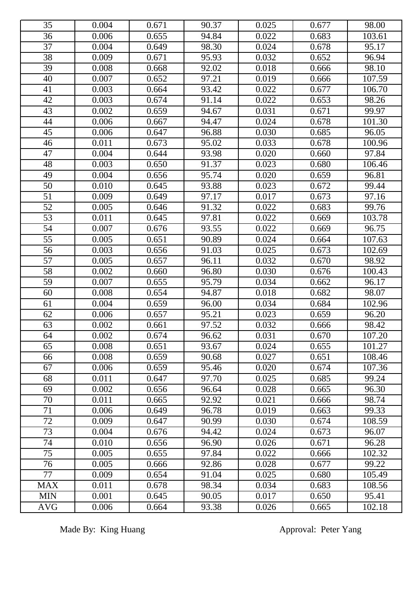| 35              | 0.004 | 0.671 | 90.37 | 0.025 | 0.677 | 98.00  |
|-----------------|-------|-------|-------|-------|-------|--------|
| 36              | 0.006 | 0.655 | 94.84 | 0.022 | 0.683 | 103.61 |
| 37              | 0.004 | 0.649 | 98.30 | 0.024 | 0.678 | 95.17  |
| 38              | 0.009 | 0.671 | 95.93 | 0.032 | 0.652 | 96.94  |
| 39              | 0.008 | 0.668 | 92.02 | 0.018 | 0.666 | 98.10  |
| 40              | 0.007 | 0.652 | 97.21 | 0.019 | 0.666 | 107.59 |
| 41              | 0.003 | 0.664 | 93.42 | 0.022 | 0.677 | 106.70 |
| 42              | 0.003 | 0.674 | 91.14 | 0.022 | 0.653 | 98.26  |
| 43              | 0.002 | 0.659 | 94.67 | 0.031 | 0.671 | 99.97  |
| 44              | 0.006 | 0.667 | 94.47 | 0.024 | 0.678 | 101.30 |
| $\overline{45}$ | 0.006 | 0.647 | 96.88 | 0.030 | 0.685 | 96.05  |
| 46              | 0.011 | 0.673 | 95.02 | 0.033 | 0.678 | 100.96 |
| 47              | 0.004 | 0.644 | 93.98 | 0.020 | 0.660 | 97.84  |
| 48              | 0.003 | 0.650 | 91.37 | 0.023 | 0.680 | 106.46 |
| 49              | 0.004 | 0.656 | 95.74 | 0.020 | 0.659 | 96.81  |
| 50              | 0.010 | 0.645 | 93.88 | 0.023 | 0.672 | 99.44  |
| $\overline{51}$ | 0.009 | 0.649 | 97.17 | 0.017 | 0.673 | 97.16  |
| 52              | 0.005 | 0.646 | 91.32 | 0.022 | 0.683 | 99.76  |
| $\overline{53}$ | 0.011 | 0.645 | 97.81 | 0.022 | 0.669 | 103.78 |
| 54              | 0.007 | 0.676 | 93.55 | 0.022 | 0.669 | 96.75  |
| 55              | 0.005 | 0.651 | 90.89 | 0.024 | 0.664 | 107.63 |
| 56              | 0.003 | 0.656 | 91.03 | 0.025 | 0.673 | 102.69 |
| $\overline{57}$ | 0.005 | 0.657 | 96.11 | 0.032 | 0.670 | 98.92  |
| $\overline{58}$ | 0.002 | 0.660 | 96.80 | 0.030 | 0.676 | 100.43 |
| 59              | 0.007 | 0.655 | 95.79 | 0.034 | 0.662 | 96.17  |
| 60              | 0.008 | 0.654 | 94.87 | 0.018 | 0.682 | 98.07  |
| 61              | 0.004 | 0.659 | 96.00 | 0.034 | 0.684 | 102.96 |
| 62              | 0.006 | 0.657 | 95.21 | 0.023 | 0.659 | 96.20  |
| 63              | 0.002 | 0.661 | 97.52 | 0.032 | 0.666 | 98.42  |
| 64              | 0.002 | 0.674 | 96.62 | 0.031 | 0.670 | 107.20 |
| 65              | 0.008 | 0.651 | 93.67 | 0.024 | 0.655 | 101.27 |
| 66              | 0.008 | 0.659 | 90.68 | 0.027 | 0.651 | 108.46 |
| 67              | 0.006 | 0.659 | 95.46 | 0.020 | 0.674 | 107.36 |
| 68              | 0.011 | 0.647 | 97.70 | 0.025 | 0.685 | 99.24  |
| 69              | 0.002 | 0.656 | 96.64 | 0.028 | 0.665 | 96.30  |
| 70              | 0.011 | 0.665 | 92.92 | 0.021 | 0.666 | 98.74  |
| 71              | 0.006 | 0.649 | 96.78 | 0.019 | 0.663 | 99.33  |
| 72              | 0.009 | 0.647 | 90.99 | 0.030 | 0.674 | 108.59 |
| 73              | 0.004 | 0.676 | 94.42 | 0.024 | 0.673 | 96.07  |
| 74              | 0.010 | 0.656 | 96.90 | 0.026 | 0.671 | 96.28  |
| 75              | 0.005 | 0.655 | 97.84 | 0.022 | 0.666 | 102.32 |
| 76              | 0.005 | 0.666 | 92.86 | 0.028 | 0.677 | 99.22  |
| 77              | 0.009 | 0.654 | 91.04 | 0.025 | 0.680 | 105.49 |
| <b>MAX</b>      | 0.011 | 0.678 | 98.34 | 0.034 | 0.683 | 108.56 |
| <b>MIN</b>      | 0.001 | 0.645 | 90.05 | 0.017 | 0.650 | 95.41  |
| <b>AVG</b>      | 0.006 | 0.664 | 93.38 | 0.026 | 0.665 | 102.18 |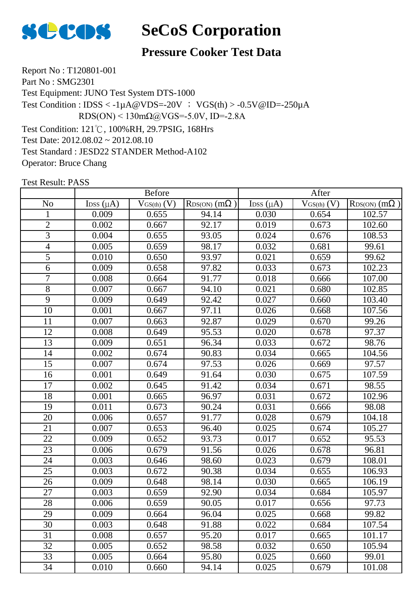

## **SeCoS Corporation**

#### **Pressure Cooker Test Data**

Report No : T120801-001 Part No : SMG2301 Test Equipment: JUNO Test System DTS-1000 Test Condition: 121℃, 100%RH, 29.7PSIG, 168Hrs Test Date: 2012.08.02 ~ 2012.08.10 Test Standard : JESD22 STANDER Method-A102 Operator: Bruce Chang Test Condition :  $IDSS < -1\mu A@VDS = -20V$  ;  $VGS(th) > -0.5V@ID = -250\mu A$  $RDS(ON) < 130 \text{m}\Omega$ @VGS=-5.0V, ID=-2.8A

|                 |                            | <b>Before</b>   |                            |                | After           |                            |
|-----------------|----------------------------|-----------------|----------------------------|----------------|-----------------|----------------------------|
| N <sub>0</sub>  | $\text{Loss}(\mu\text{A})$ | $V_{GS(th)}(V)$ | $R_{DS(ON)}$ (m $\Omega$ ) | Ipss $(\mu A)$ | $V_{GS(th)}(V)$ | $R_{DS(ON)}$ (m $\Omega$ ) |
| 1               | 0.009                      | 0.655           | 94.14                      | 0.030          | 0.654           | 102.57                     |
| $\overline{2}$  | 0.002                      | 0.667           | 92.17                      | 0.019          | 0.673           | 102.60                     |
| 3               | 0.004                      | 0.655           | 93.05                      | 0.024          | 0.676           | 108.53                     |
| $\overline{4}$  | 0.005                      | 0.659           | 98.17                      | 0.032          | 0.681           | 99.61                      |
| $\overline{5}$  | 0.010                      | 0.650           | 93.97                      | 0.021          | 0.659           | 99.62                      |
| 6               | 0.009                      | 0.658           | 97.82                      | 0.033          | 0.673           | 102.23                     |
| 7               | 0.008                      | 0.664           | 91.77                      | 0.018          | 0.666           | 107.00                     |
| $\overline{8}$  | 0.007                      | 0.667           | 94.10                      | 0.021          | 0.680           | 102.85                     |
| $\overline{9}$  | 0.009                      | 0.649           | 92.42                      | 0.027          | 0.660           | 103.40                     |
| 10              | 0.001                      | 0.667           | 97.11                      | 0.026          | 0.668           | 107.56                     |
| 11              | 0.007                      | 0.663           | 92.87                      | 0.029          | 0.670           | 99.26                      |
| 12              | 0.008                      | 0.649           | 95.53                      | 0.020          | 0.678           | 97.37                      |
| 13              | 0.009                      | 0.651           | 96.34                      | 0.033          | 0.672           | 98.76                      |
| 14              | 0.002                      | 0.674           | 90.83                      | 0.034          | 0.665           | 104.56                     |
| 15              | 0.007                      | 0.674           | 97.53                      | 0.026          | 0.669           | 97.57                      |
| 16              | 0.001                      | 0.649           | 91.64                      | 0.030          | 0.675           | 107.59                     |
| 17              | 0.002                      | 0.645           | 91.42                      | 0.034          | 0.671           | 98.55                      |
| 18              | 0.001                      | 0.665           | 96.97                      | 0.031          | 0.672           | 102.96                     |
| 19              | 0.011                      | 0.673           | 90.24                      | 0.031          | 0.666           | 98.08                      |
| $\overline{20}$ | 0.006                      | 0.657           | 91.77                      | 0.028          | 0.679           | 104.18                     |
| 21              | 0.007                      | 0.653           | 96.40                      | 0.025          | 0.674           | 105.27                     |
| $\overline{22}$ | 0.009                      | 0.652           | 93.73                      | 0.017          | 0.652           | 95.53                      |
| 23              | 0.006                      | 0.679           | 91.56                      | 0.026          | 0.678           | 96.81                      |
| 24              | 0.003                      | 0.646           | 98.60                      | 0.023          | 0.679           | 108.01                     |
| 25              | 0.003                      | 0.672           | 90.38                      | 0.034          | 0.655           | 106.93                     |
| 26              | 0.009                      | 0.648           | 98.14                      | 0.030          | 0.665           | 106.19                     |
| 27              | 0.003                      | 0.659           | 92.90                      | 0.034          | 0.684           | 105.97                     |
| $\overline{28}$ | 0.006                      | 0.659           | 90.05                      | 0.017          | 0.656           | 97.73                      |
| 29              | 0.009                      | 0.664           | 96.04                      | 0.025          | 0.668           | 99.82                      |
| 30              | 0.003                      | 0.648           | 91.88                      | 0.022          | 0.684           | 107.54                     |
| 31              | 0.008                      | 0.657           | 95.20                      | 0.017          | 0.665           | 101.17                     |
| 32              | 0.005                      | 0.652           | 98.58                      | 0.032          | 0.650           | 105.94                     |
| $\overline{33}$ | 0.005                      | 0.664           | 95.80                      | 0.025          | 0.660           | 99.01                      |
| 34              | 0.010                      | 0.660           | 94.14                      | 0.025          | 0.679           | 101.08                     |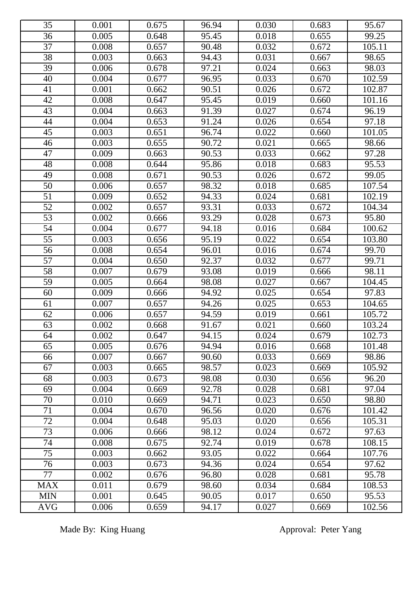| 35              | 0.001 | 0.675 | 96.94 | 0.030 | 0.683 | 95.67  |
|-----------------|-------|-------|-------|-------|-------|--------|
| 36              | 0.005 | 0.648 | 95.45 | 0.018 | 0.655 | 99.25  |
| 37              | 0.008 | 0.657 | 90.48 | 0.032 | 0.672 | 105.11 |
| 38              | 0.003 | 0.663 | 94.43 | 0.031 | 0.667 | 98.65  |
| 39              | 0.006 | 0.678 | 97.21 | 0.024 | 0.663 | 98.03  |
| 40              | 0.004 | 0.677 | 96.95 | 0.033 | 0.670 | 102.59 |
| 41              | 0.001 | 0.662 | 90.51 | 0.026 | 0.672 | 102.87 |
| 42              | 0.008 | 0.647 | 95.45 | 0.019 | 0.660 | 101.16 |
| 43              | 0.004 | 0.663 | 91.39 | 0.027 | 0.674 | 96.19  |
| 44              | 0.004 | 0.653 | 91.24 | 0.026 | 0.654 | 97.18  |
| 45              | 0.003 | 0.651 | 96.74 | 0.022 | 0.660 | 101.05 |
| 46              | 0.003 | 0.655 | 90.72 | 0.021 | 0.665 | 98.66  |
| 47              | 0.009 | 0.663 | 90.53 | 0.033 | 0.662 | 97.28  |
| 48              | 0.008 | 0.644 | 95.86 | 0.018 | 0.683 | 95.53  |
| 49              | 0.008 | 0.671 | 90.53 | 0.026 | 0.672 | 99.05  |
| 50              | 0.006 | 0.657 | 98.32 | 0.018 | 0.685 | 107.54 |
| 51              | 0.009 | 0.652 | 94.33 | 0.024 | 0.681 | 102.19 |
| 52              | 0.002 | 0.657 | 93.31 | 0.033 | 0.672 | 104.34 |
| $\overline{53}$ | 0.002 | 0.666 | 93.29 | 0.028 | 0.673 | 95.80  |
| 54              | 0.004 | 0.677 | 94.18 | 0.016 | 0.684 | 100.62 |
| 55              | 0.003 | 0.656 | 95.19 | 0.022 | 0.654 | 103.80 |
| 56              | 0.008 | 0.654 | 96.01 | 0.016 | 0.674 | 99.70  |
| 57              | 0.004 | 0.650 | 92.37 | 0.032 | 0.677 | 99.71  |
| 58              | 0.007 | 0.679 | 93.08 | 0.019 | 0.666 | 98.11  |
| 59              | 0.005 | 0.664 | 98.08 | 0.027 | 0.667 | 104.45 |
| 60              | 0.009 | 0.666 | 94.92 | 0.025 | 0.654 | 97.83  |
| 61              | 0.007 | 0.657 | 94.26 | 0.025 | 0.653 | 104.65 |
| 62              | 0.006 | 0.657 | 94.59 | 0.019 | 0.661 | 105.72 |
| 63              | 0.002 | 0.668 | 91.67 | 0.021 | 0.660 | 103.24 |
| 64              | 0.002 | 0.647 | 94.15 | 0.024 | 0.679 | 102.73 |
| 65              | 0.005 | 0.676 | 94.94 | 0.016 | 0.668 | 101.48 |
| 66              | 0.007 | 0.667 | 90.60 | 0.033 | 0.669 | 98.86  |
| 67              | 0.003 | 0.665 | 98.57 | 0.023 | 0.669 | 105.92 |
| 68              | 0.003 | 0.673 | 98.08 | 0.030 | 0.656 | 96.20  |
| 69              | 0.004 | 0.669 | 92.78 | 0.028 | 0.681 | 97.04  |
| 70              | 0.010 | 0.669 | 94.71 | 0.023 | 0.650 | 98.80  |
| 71              | 0.004 | 0.670 | 96.56 | 0.020 | 0.676 | 101.42 |
| 72              | 0.004 | 0.648 | 95.03 | 0.020 | 0.656 | 105.31 |
| 73              | 0.006 | 0.666 | 98.12 | 0.024 | 0.672 | 97.63  |
| 74              | 0.008 | 0.675 | 92.74 | 0.019 | 0.678 | 108.15 |
| 75              | 0.003 | 0.662 | 93.05 | 0.022 | 0.664 | 107.76 |
| 76              | 0.003 | 0.673 | 94.36 | 0.024 | 0.654 | 97.62  |
| 77              | 0.002 | 0.676 | 96.80 | 0.028 | 0.681 | 95.78  |
| <b>MAX</b>      | 0.011 | 0.679 | 98.60 | 0.034 | 0.684 | 108.53 |
| <b>MIN</b>      | 0.001 | 0.645 | 90.05 | 0.017 | 0.650 | 95.53  |
| <b>AVG</b>      | 0.006 | 0.659 | 94.17 | 0.027 | 0.669 | 102.56 |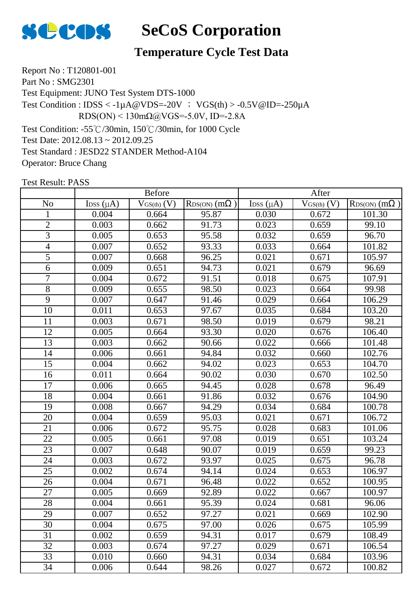

## **SeCoS Corporation**

## **Temperature Cycle Test Data**

Report No : T120801-001 Part No : SMG2301 Test Equipment: JUNO Test System DTS-1000 Test Condition: -55℃/30min, 150℃/30min, for 1000 Cycle Test Date: 2012.08.13 ~ 2012.09.25 Test Standard : JESD22 STANDER Method-A104 Operator: Bruce Chang Test Condition :  $IDSS < -1\mu A@VDS = -20V$  ;  $VGS(th) > -0.5V@ID = -250\mu A$  $RDS(ON) < 130 \text{m}\Omega$ @VGS=-5.0V, ID=-2.8A

|                 |                            | <b>Before</b>   |                            |                            | After           |                            |
|-----------------|----------------------------|-----------------|----------------------------|----------------------------|-----------------|----------------------------|
| No              | $\text{Loss}(\mu\text{A})$ | $V_{GS(th)}(V)$ | $R_{DS(ON)}$ (m $\Omega$ ) | $\text{Loss}(\mu\text{A})$ | $V_{GS(th)}(V)$ | $R_{DS(ON)}$ (m $\Omega$ ) |
| 1               | 0.004                      | 0.664           | 95.87                      | 0.030                      | 0.672           | 101.30                     |
| $\overline{2}$  | 0.003                      | 0.662           | 91.73                      | 0.023                      | 0.659           | 99.10                      |
| $\overline{3}$  | 0.005                      | 0.653           | 95.58                      | 0.032                      | 0.659           | 96.70                      |
| $\overline{4}$  | 0.007                      | 0.652           | 93.33                      | 0.033                      | 0.664           | 101.82                     |
| 5               | 0.007                      | 0.668           | 96.25                      | 0.021                      | 0.671           | 105.97                     |
| 6               | 0.009                      | 0.651           | 94.73                      | 0.021                      | 0.679           | 96.69                      |
| $\overline{7}$  | 0.004                      | 0.672           | 91.51                      | 0.018                      | 0.675           | 107.91                     |
| 8               | 0.009                      | 0.655           | 98.50                      | 0.023                      | 0.664           | 99.98                      |
| $\overline{9}$  | 0.007                      | 0.647           | 91.46                      | 0.029                      | 0.664           | 106.29                     |
| 10              | 0.011                      | 0.653           | 97.67                      | 0.035                      | 0.684           | 103.20                     |
| 11              | 0.003                      | 0.671           | 98.50                      | 0.019                      | 0.679           | 98.21                      |
| $\overline{12}$ | 0.005                      | 0.664           | 93.30                      | 0.020                      | 0.676           | 106.40                     |
| $\overline{13}$ | 0.003                      | 0.662           | 90.66                      | 0.022                      | 0.666           | 101.48                     |
| 14              | 0.006                      | 0.661           | 94.84                      | 0.032                      | 0.660           | 102.76                     |
| 15              | 0.004                      | 0.662           | 94.02                      | 0.023                      | 0.653           | 104.70                     |
| 16              | 0.011                      | 0.664           | 90.02                      | 0.030                      | 0.670           | 102.50                     |
| 17              | 0.006                      | 0.665           | 94.45                      | 0.028                      | 0.678           | 96.49                      |
| 18              | 0.004                      | 0.661           | 91.86                      | 0.032                      | 0.676           | 104.90                     |
| 19              | 0.008                      | 0.667           | 94.29                      | 0.034                      | 0.684           | 100.78                     |
| 20              | 0.004                      | 0.659           | 95.03                      | 0.021                      | 0.671           | 106.72                     |
| 21              | 0.006                      | 0.672           | 95.75                      | 0.028                      | 0.683           | 101.06                     |
| 22              | 0.005                      | 0.661           | 97.08                      | 0.019                      | 0.651           | 103.24                     |
| 23              | 0.007                      | 0.648           | 90.07                      | 0.019                      | 0.659           | 99.23                      |
| 24              | 0.003                      | 0.672           | 93.97                      | 0.025                      | 0.675           | 96.78                      |
| $\overline{25}$ | 0.002                      | 0.674           | 94.14                      | 0.024                      | 0.653           | 106.97                     |
| 26              | 0.004                      | 0.671           | 96.48                      | 0.022                      | 0.652           | 100.95                     |
| 27              | 0.005                      | 0.669           | 92.89                      | 0.022                      | 0.667           | 100.97                     |
| 28              | 0.004                      | 0.661           | 95.39                      | 0.024                      | 0.681           | 96.06                      |
| 29              | 0.007                      | 0.652           | 97.27                      | 0.021                      | 0.669           | 102.90                     |
| 30              | 0.004                      | 0.675           | 97.00                      | 0.026                      | 0.675           | 105.99                     |
| 31              | 0.002                      | 0.659           | 94.31                      | 0.017                      | 0.679           | 108.49                     |
| 32              | 0.003                      | 0.674           | 97.27                      | 0.029                      | 0.671           | 106.54                     |
| 33              | 0.010                      | 0.660           | 94.31                      | 0.034                      | 0.684           | 103.96                     |
| 34              | 0.006                      | 0.644           | 98.26                      | 0.027                      | 0.672           | 100.82                     |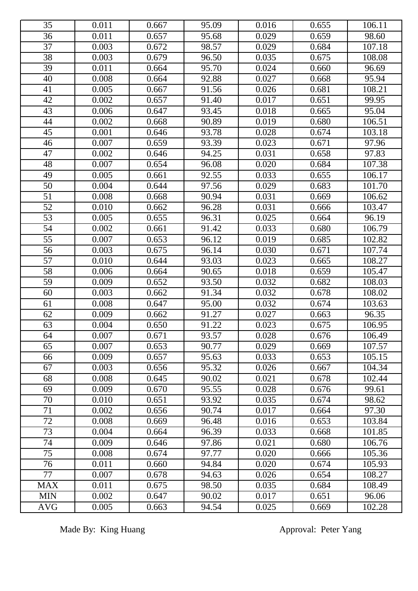| 35              | 0.011 | 0.667 | 95.09 | 0.016 | 0.655 | 106.11 |
|-----------------|-------|-------|-------|-------|-------|--------|
| 36              | 0.011 | 0.657 | 95.68 | 0.029 | 0.659 | 98.60  |
| 37              | 0.003 | 0.672 | 98.57 | 0.029 | 0.684 | 107.18 |
| 38              | 0.003 | 0.679 | 96.50 | 0.035 | 0.675 | 108.08 |
| 39              | 0.011 | 0.664 | 95.70 | 0.024 | 0.660 | 96.69  |
| 40              | 0.008 | 0.664 | 92.88 | 0.027 | 0.668 | 95.94  |
| 41              | 0.005 | 0.667 | 91.56 | 0.026 | 0.681 | 108.21 |
| 42              | 0.002 | 0.657 | 91.40 | 0.017 | 0.651 | 99.95  |
| $\overline{43}$ | 0.006 | 0.647 | 93.45 | 0.018 | 0.665 | 95.04  |
| 44              | 0.002 | 0.668 | 90.89 | 0.019 | 0.680 | 106.51 |
| 45              | 0.001 | 0.646 | 93.78 | 0.028 | 0.674 | 103.18 |
| 46              | 0.007 | 0.659 | 93.39 | 0.023 | 0.671 | 97.96  |
| 47              | 0.002 | 0.646 | 94.25 | 0.031 | 0.658 | 97.83  |
| 48              | 0.007 | 0.654 | 96.08 | 0.020 | 0.684 | 107.38 |
| 49              | 0.005 | 0.661 | 92.55 | 0.033 | 0.655 | 106.17 |
| 50              | 0.004 | 0.644 | 97.56 | 0.029 | 0.683 | 101.70 |
| 51              | 0.008 | 0.668 | 90.94 | 0.031 | 0.669 | 106.62 |
| 52              | 0.010 | 0.662 | 96.28 | 0.031 | 0.666 | 103.47 |
| $\overline{53}$ | 0.005 | 0.655 | 96.31 | 0.025 | 0.664 | 96.19  |
| 54              | 0.002 | 0.661 | 91.42 | 0.033 | 0.680 | 106.79 |
| 55              | 0.007 | 0.653 | 96.12 | 0.019 | 0.685 | 102.82 |
| $\overline{56}$ | 0.003 | 0.675 | 96.14 | 0.030 | 0.671 | 107.74 |
| 57              | 0.010 | 0.644 | 93.03 | 0.023 | 0.665 | 108.27 |
| 58              | 0.006 | 0.664 | 90.65 | 0.018 | 0.659 | 105.47 |
| 59              | 0.009 | 0.652 | 93.50 | 0.032 | 0.682 | 108.03 |
| 60              | 0.003 | 0.662 | 91.34 | 0.032 | 0.678 | 108.02 |
| 61              | 0.008 | 0.647 | 95.00 | 0.032 | 0.674 | 103.63 |
| 62              | 0.009 | 0.662 | 91.27 | 0.027 | 0.663 | 96.35  |
| 63              | 0.004 | 0.650 | 91.22 | 0.023 | 0.675 | 106.95 |
| 64              | 0.007 | 0.671 | 93.57 | 0.028 | 0.676 | 106.49 |
| 65              | 0.007 | 0.653 | 90.77 | 0.029 | 0.669 | 107.57 |
| 66              | 0.009 | 0.657 | 95.63 | 0.033 | 0.653 | 105.15 |
| 67              | 0.003 | 0.656 | 95.32 | 0.026 | 0.667 | 104.34 |
| 68              | 0.008 | 0.645 | 90.02 | 0.021 | 0.678 | 102.44 |
| 69              | 0.009 | 0.670 | 95.55 | 0.028 | 0.676 | 99.61  |
| 70              | 0.010 | 0.651 | 93.92 | 0.035 | 0.674 | 98.62  |
| 71              | 0.002 | 0.656 | 90.74 | 0.017 | 0.664 | 97.30  |
| 72              | 0.008 | 0.669 | 96.48 | 0.016 | 0.653 | 103.84 |
| 73              | 0.004 | 0.664 | 96.39 | 0.033 | 0.668 | 101.85 |
| 74              | 0.009 | 0.646 | 97.86 | 0.021 | 0.680 | 106.76 |
| 75              | 0.008 | 0.674 | 97.77 | 0.020 | 0.666 | 105.36 |
| 76              | 0.011 | 0.660 | 94.84 | 0.020 | 0.674 | 105.93 |
| 77              | 0.007 | 0.678 | 94.63 | 0.026 | 0.654 | 108.27 |
| <b>MAX</b>      | 0.011 | 0.675 | 98.50 | 0.035 | 0.684 | 108.49 |
| <b>MIN</b>      | 0.002 | 0.647 | 90.02 | 0.017 | 0.651 | 96.06  |
| <b>AVG</b>      | 0.005 | 0.663 | 94.54 | 0.025 | 0.669 | 102.28 |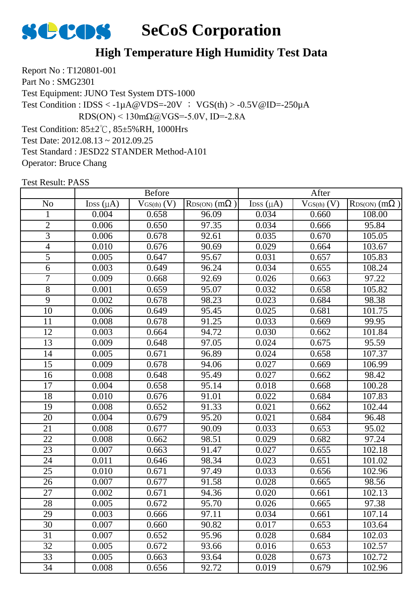

# **SECOS** SeCoS Corporation

## **High Temperature High Humidity Test Data**

Report No : T120801-001 Part No : SMG2301 Test Equipment: JUNO Test System DTS-1000 Test Condition: 85±2℃, 85±5%RH, 1000Hrs Test Date: 2012.08.13 ~ 2012.09.25 Test Standard : JESD22 STANDER Method-A101 Operator: Bruce Chang Test Condition :  $IDSS < -1\mu A@VDS = -20V$  ;  $VGS(th) > -0.5V@ID = -250\mu A$ RDS(ON) <  $130 \text{m}\Omega$  ( $\partial$ ) VGS = -5.0V, ID = -2.8A

|                          |                            | <b>Before</b>   |                            |                            | After           |                            |
|--------------------------|----------------------------|-----------------|----------------------------|----------------------------|-----------------|----------------------------|
| N <sub>o</sub>           | $\text{Loss}(\mu\text{A})$ | $V_{GS(th)}(V)$ | $R_{DS(ON)}$ (m $\Omega$ ) | $\text{Loss}(\mu\text{A})$ | $V_{GS(th)}(V)$ | $R_{DS(ON)}$ (m $\Omega$ ) |
| $\mathbf{1}$             | 0.004                      | 0.658           | 96.09                      | 0.034                      | 0.660           | 108.00                     |
| $\overline{2}$           | 0.006                      | 0.650           | 97.35                      | 0.034                      | 0.666           | 95.84                      |
| 3                        | 0.006                      | 0.678           | 92.61                      | 0.035                      | 0.670           | 105.05                     |
| $\overline{\mathcal{L}}$ | 0.010                      | 0.676           | 90.69                      | 0.029                      | 0.664           | 103.67                     |
| 5                        | 0.005                      | 0.647           | 95.67                      | 0.031                      | 0.657           | 105.83                     |
| 6                        | 0.003                      | 0.649           | 96.24                      | 0.034                      | 0.655           | 108.24                     |
| $\overline{7}$           | 0.009                      | 0.668           | 92.69                      | 0.026                      | 0.663           | 97.22                      |
| 8                        | 0.001                      | 0.659           | 95.07                      | 0.032                      | 0.658           | 105.82                     |
| $\overline{9}$           | 0.002                      | 0.678           | 98.23                      | 0.023                      | 0.684           | 98.38                      |
| 10                       | 0.006                      | 0.649           | 95.45                      | 0.025                      | 0.681           | 101.75                     |
| 11                       | 0.008                      | 0.678           | 91.25                      | 0.033                      | 0.669           | 99.95                      |
| 12                       | 0.003                      | 0.664           | 94.72                      | 0.030                      | 0.662           | 101.84                     |
| 13                       | 0.009                      | 0.648           | 97.05                      | 0.024                      | 0.675           | 95.59                      |
| 14                       | 0.005                      | 0.671           | 96.89                      | 0.024                      | 0.658           | 107.37                     |
| 15                       | 0.009                      | 0.678           | 94.06                      | 0.027                      | 0.669           | 106.99                     |
| 16                       | 0.008                      | 0.648           | 95.49                      | 0.027                      | 0.662           | 98.42                      |
| 17                       | 0.004                      | 0.658           | 95.14                      | 0.018                      | 0.668           | 100.28                     |
| 18                       | 0.010                      | 0.676           | 91.01                      | 0.022                      | 0.684           | 107.83                     |
| 19                       | 0.008                      | 0.652           | 91.33                      | 0.021                      | 0.662           | 102.44                     |
| $\overline{20}$          | 0.004                      | 0.679           | 95.20                      | 0.021                      | 0.684           | 96.48                      |
| 21                       | 0.008                      | 0.677           | 90.09                      | 0.033                      | 0.653           | 95.02                      |
| 22                       | 0.008                      | 0.662           | 98.51                      | 0.029                      | 0.682           | 97.24                      |
| 23                       | 0.007                      | 0.663           | 91.47                      | 0.027                      | 0.655           | 102.18                     |
| 24                       | 0.011                      | 0.646           | 98.34                      | 0.023                      | 0.651           | 101.02                     |
| $\overline{25}$          | 0.010                      | 0.671           | 97.49                      | 0.033                      | 0.656           | 102.96                     |
| 26                       | 0.007                      | 0.677           | 91.58                      | 0.028                      | 0.665           | 98.56                      |
| 27                       | 0.002                      | 0.671           | 94.36                      | 0.020                      | 0.661           | 102.13                     |
| 28                       | 0.005                      | 0.672           | 95.70                      | 0.026                      | 0.665           | 97.38                      |
| 29                       | 0.003                      | 0.666           | 97.11                      | 0.034                      | 0.661           | 107.14                     |
| 30                       | 0.007                      | 0.660           | 90.82                      | 0.017                      | 0.653           | 103.64                     |
| 31                       | 0.007                      | 0.652           | 95.96                      | 0.028                      | 0.684           | 102.03                     |
| 32                       | 0.005                      | 0.672           | 93.66                      | 0.016                      | 0.653           | 102.57                     |
| 33                       | 0.005                      | 0.663           | 93.64                      | 0.028                      | 0.673           | 102.72                     |
| 34                       | 0.008                      | 0.656           | 92.72                      | 0.019                      | 0.679           | 102.96                     |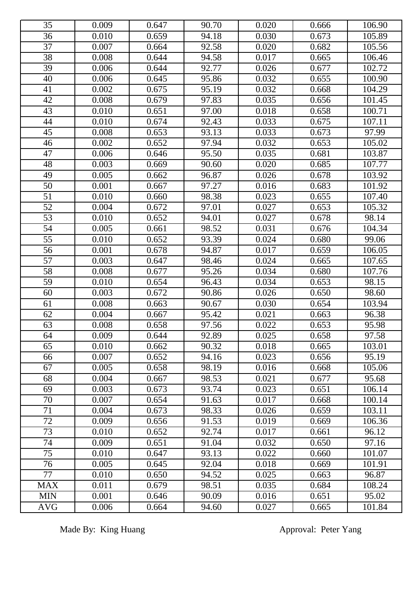| 35              | 0.009 | 0.647 | 90.70 | 0.020 | 0.666 | 106.90 |
|-----------------|-------|-------|-------|-------|-------|--------|
| 36              | 0.010 | 0.659 | 94.18 | 0.030 | 0.673 | 105.89 |
| 37              | 0.007 | 0.664 | 92.58 | 0.020 | 0.682 | 105.56 |
| 38              | 0.008 | 0.644 | 94.58 | 0.017 | 0.665 | 106.46 |
| 39              | 0.006 | 0.644 | 92.77 | 0.026 | 0.677 | 102.72 |
| 40              | 0.006 | 0.645 | 95.86 | 0.032 | 0.655 | 100.90 |
| 41              | 0.002 | 0.675 | 95.19 | 0.032 | 0.668 | 104.29 |
| 42              | 0.008 | 0.679 | 97.83 | 0.035 | 0.656 | 101.45 |
| 43              | 0.010 | 0.651 | 97.00 | 0.018 | 0.658 | 100.71 |
| 44              | 0.010 | 0.674 | 92.43 | 0.033 | 0.675 | 107.11 |
| $\overline{45}$ | 0.008 | 0.653 | 93.13 | 0.033 | 0.673 | 97.99  |
| 46              | 0.002 | 0.652 | 97.94 | 0.032 | 0.653 | 105.02 |
| 47              | 0.006 | 0.646 | 95.50 | 0.035 | 0.681 | 103.87 |
| 48              | 0.003 | 0.669 | 90.60 | 0.020 | 0.685 | 107.77 |
| 49              | 0.005 | 0.662 | 96.87 | 0.026 | 0.678 | 103.92 |
| 50              | 0.001 | 0.667 | 97.27 | 0.016 | 0.683 | 101.92 |
| $\overline{51}$ | 0.010 | 0.660 | 98.38 | 0.023 | 0.655 | 107.40 |
| 52              | 0.004 | 0.672 | 97.01 | 0.027 | 0.653 | 105.32 |
| $\overline{53}$ | 0.010 | 0.652 | 94.01 | 0.027 | 0.678 | 98.14  |
| 54              | 0.005 | 0.661 | 98.52 | 0.031 | 0.676 | 104.34 |
| 55              | 0.010 | 0.652 | 93.39 | 0.024 | 0.680 | 99.06  |
| 56              | 0.001 | 0.678 | 94.87 | 0.017 | 0.659 | 106.05 |
| $\overline{57}$ | 0.003 | 0.647 | 98.46 | 0.024 | 0.665 | 107.65 |
| $\overline{58}$ | 0.008 | 0.677 | 95.26 | 0.034 | 0.680 | 107.76 |
| 59              | 0.010 | 0.654 | 96.43 | 0.034 | 0.653 | 98.15  |
| 60              | 0.003 | 0.672 | 90.86 | 0.026 | 0.650 | 98.60  |
| 61              | 0.008 | 0.663 | 90.67 | 0.030 | 0.654 | 103.94 |
| 62              | 0.004 | 0.667 | 95.42 | 0.021 | 0.663 | 96.38  |
| 63              | 0.008 | 0.658 | 97.56 | 0.022 | 0.653 | 95.98  |
| 64              | 0.009 | 0.644 | 92.89 | 0.025 | 0.658 | 97.58  |
| 65              | 0.010 | 0.662 | 90.32 | 0.018 | 0.665 | 103.01 |
| 66              | 0.007 | 0.652 | 94.16 | 0.023 | 0.656 | 95.19  |
| 67              | 0.005 | 0.658 | 98.19 | 0.016 | 0.668 | 105.06 |
| 68              | 0.004 | 0.667 | 98.53 | 0.021 | 0.677 | 95.68  |
| 69              | 0.003 | 0.673 | 93.74 | 0.023 | 0.651 | 106.14 |
| 70              | 0.007 | 0.654 | 91.63 | 0.017 | 0.668 | 100.14 |
| 71              | 0.004 | 0.673 | 98.33 | 0.026 | 0.659 | 103.11 |
| 72              | 0.009 | 0.656 | 91.53 | 0.019 | 0.669 | 106.36 |
| 73              | 0.010 | 0.652 | 92.74 | 0.017 | 0.661 | 96.12  |
| 74              | 0.009 | 0.651 | 91.04 | 0.032 | 0.650 | 97.16  |
| 75              | 0.010 | 0.647 | 93.13 | 0.022 | 0.660 | 101.07 |
| 76              | 0.005 | 0.645 | 92.04 | 0.018 | 0.669 | 101.91 |
| 77              | 0.010 | 0.650 | 94.52 | 0.025 | 0.663 | 96.87  |
| <b>MAX</b>      | 0.011 | 0.679 | 98.51 | 0.035 | 0.684 | 108.24 |
| <b>MIN</b>      | 0.001 | 0.646 | 90.09 | 0.016 | 0.651 | 95.02  |
| <b>AVG</b>      | 0.006 | 0.664 | 94.60 | 0.027 | 0.665 | 101.84 |